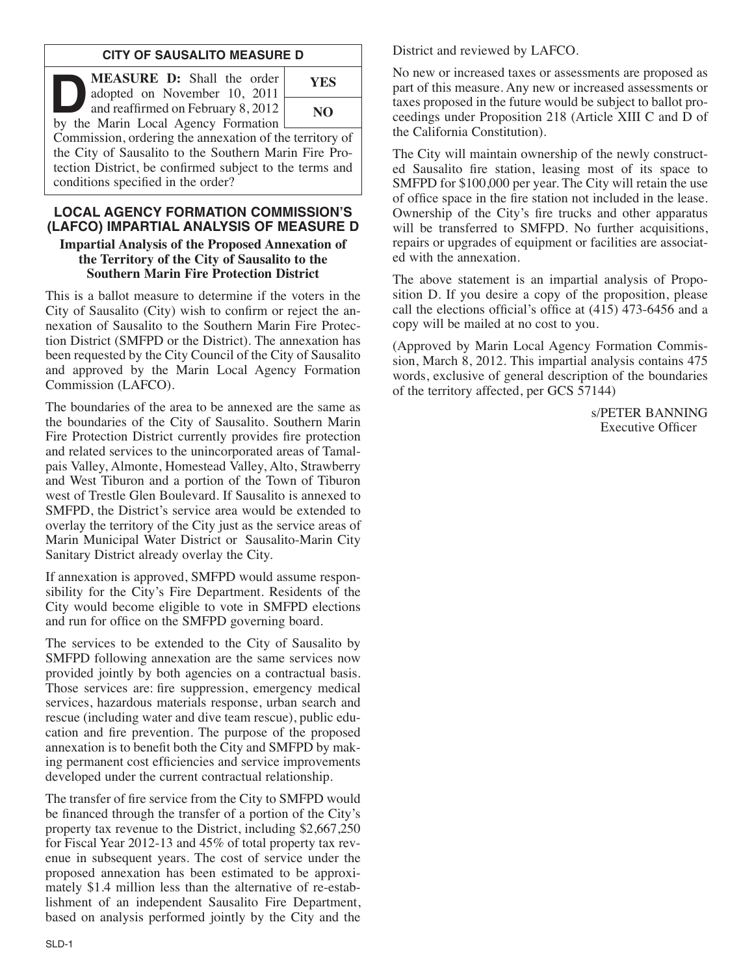## **CITY OF SAUSALITO MEASURE D**

| MEASURE D: Shall the order<br>adopted on November 10, 2011                                                                                                                                                        | <b>YES</b> |
|-------------------------------------------------------------------------------------------------------------------------------------------------------------------------------------------------------------------|------------|
| and reaffirmed on February 8, 2012<br>by the Marin Local Agency Formation                                                                                                                                         | NO.        |
| Commission, ordering the annexation of the territory of<br>the City of Sausalito to the Southern Marin Fire Pro-<br>tection District, be confirmed subject to the terms and<br>conditions specified in the order? |            |

### **LOCAL AGENCY FORMATION COMMISSION'S (LAFCO) IMPARTIAL ANALYSIS OF MEASURE D**

#### **Impartial Analysis of the Proposed Annexation of the Territory of the City of Sausalito to the Southern Marin Fire Protection District**

This is a ballot measure to determine if the voters in the City of Sausalito (City) wish to confirm or reject the an nexation of Sausalito to the Southern Marin Fire Protec tion District (SMFPD or the District). The annexation has been requested by the City Council of the City of Sausalito and approved by the Marin Local Agency Formation Commission (LAFCO).

The boundaries of the area to be annexed are the same as the boundaries of the City of Sausalito. Southern Marin Fire Protection District currently provides fire protection and related services to the unincorporated areas of Tamal pais Valley, Almonte, Homestead Valley, Alto, Strawberry and West Tiburon and a portion of the Town of Tiburon west of Trestle Glen Boulevard. If Sausalito is annexed to SMFPD, the District's service area would be extended to overlay the territory of the City just as the service areas of Marin Municipal Water District or Sausalito-Marin City Sanitary District already overlay the City.

If annexation is approved, SMFPD would assume responsibility for the City's Fire Department. Residents of the City would become eligible to vote in SMFPD elections and run for office on the SMFPD governing board.

The services to be extended to the City of Sausalito by SMFPD following annexation are the same services now provided jointly by both agencies on a contractual basis. Those services are: fire suppression, emergency medical services, hazardous materials response, urban search and rescue (including water and dive team rescue), public education and fire prevention. The purpose of the proposed annexation is to benefit both the City and SMFPD by making permanent cost efficiencies and service improvements developed under the current contractual relationship.

The transfer of fire service from the City to SMFPD would be financed through the transfer of a portion of the City's property tax revenue to the District, including \$2,667,250 for Fiscal Year 2012-13 and 45% of total property tax revenue in subsequent years. The cost of service under the proposed annexation has been estimated to be approximately \$1.4 million less than the alternative of re-establishment of an independent Sausalito Fire Department, based on analysis performed jointly by the City and the District and reviewed by LAFCO.

No new or increased taxes or assessments are proposed as part of this measure. Any new or increased assessments or taxes proposed in the future would be subject to ballot proceedings under Proposition 218 (Article XIII C and D of the California Constitution).

The City will maintain ownership of the newly constructed Sausalito fire station, leasing most of its space to SMFPD for \$100,000 per year. The City will retain the use of office space in the fire station not included in the lease. Ownership of the City's fire trucks and other apparatus will be transferred to SMFPD. No further acquisitions, repairs or upgrades of equipment or facilities are associated with the annexation.

The above statement is an impartial analysis of Proposition D. If you desire a copy of the proposition, please call the elections official's office at (415) 473-6456 and a copy will be mailed at no cost to you.

(Approved by Marin Local Agency Formation Commis sion, March 8, 2012. This impartial analysis contains 475 words, exclusive of general description of the boundaries of the territory affected, per GCS 57144)

> s/PETER BANNING Executive Officer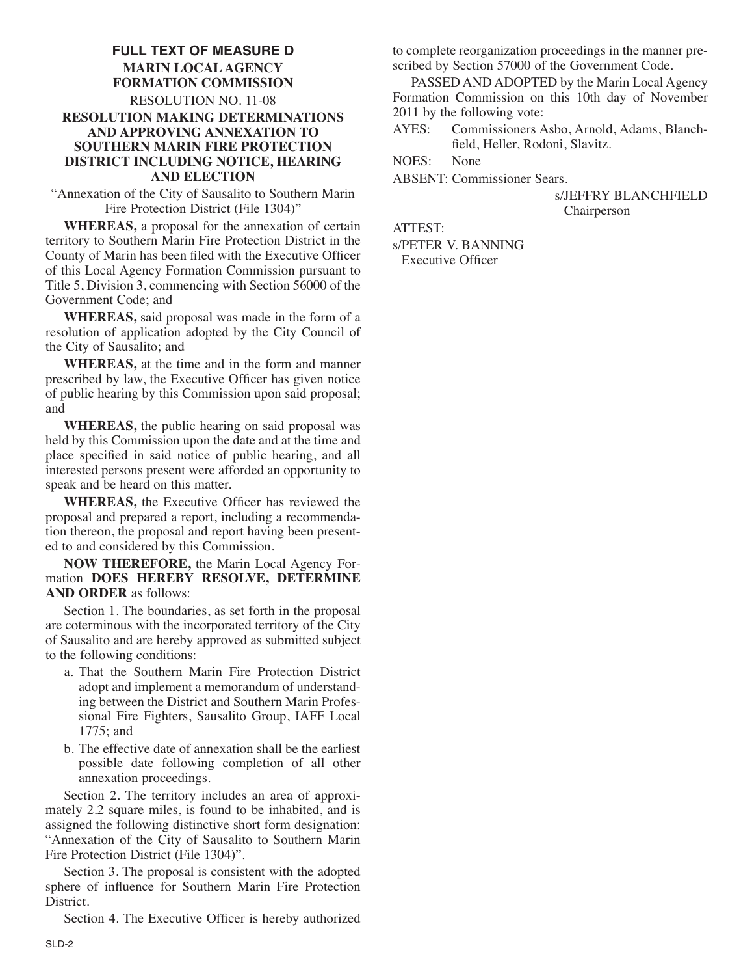### **FULL TEXT OF MEASURE D MARIN LOCAL AGENCY FORMATION COMMISSION** RESOLUTION NO. 11-08 **RESOLUTION MAKING DETERMINATIONS AND APPROVING ANNEXATION TO SOUTHERN MARIN FIRE PROTECTION DISTRICT INCLUDING NOTICE, HEARING AND ELECTION**

"Annexation of the City of Sausalito to Southern Marin Fire Protection District (File 1304)"

**WHEREAS,** a proposal for the annexation of certain territory to Southern Marin Fire Protection District in the County of Marin has been filed with the Executive Officer of this Local Agency Formation Commission pursuant to Title 5, Division 3, commencing with Section 56000 of the Government Code; and

**WHEREAS,** said proposal was made in the form of a resolution of application adopted by the City Council of the City of Sausalito; and

**WHEREAS,** at the time and in the form and manner prescribed by law, the Executive Officer has given notice of public hearing by this Commission upon said proposal; and

**WHEREAS,** the public hearing on said proposal was held by this Commission upon the date and at the time and place specified in said notice of public hearing, and all interested persons present were afforded an opportunity to speak and be heard on this matter.

**WHEREAS,** the Executive Officer has reviewed the proposal and prepared a report, including a recommendation thereon, the proposal and report having been presented to and considered by this Commission.

**NOW THEREFORE,** the Marin Local Agency For mation **DOES HEREBY RESOLVE, DETERMINE AND ORDER** as follows:

Section 1. The boundaries, as set forth in the proposal are coterminous with the incorporated territory of the City of Sausalito and are hereby approved as submitted subject to the following conditions:

- a. That the Southern Marin Fire Protection District adopt and implement a memorandum of understanding between the District and Southern Marin Profes sional Fire Fighters, Sausalito Group, IAFF Local 1775; and
- b. The effective date of annexation shall be the earliest possible date following completion of all other annexation proceedings.

Section 2. The territory includes an area of approximately 2.2 square miles, is found to be inhabited, and is assigned the following distinctive short form designation: "Annexation of the City of Sausalito to Southern Marin Fire Protection District (File 1304)".

Section 3. The proposal is consistent with the adopted sphere of influence for Southern Marin Fire Protection District.

Section 4. The Executive Officer is hereby authorized

to complete reorganization proceedings in the manner prescribed by Section 57000 of the Government Code.

PASSED AND ADOPTED by the Marin Local Agency Formation Commission on this 10th day of November 2011 by the following vote:

AYES: Commissioners Asbo, Arnold, Adams, Blanchfield, Heller, Rodoni, Slavitz.

NOES: None

ABSENT: Commissioner Sears.

s/JEFFRY BLANCHFIELD Chairperson

ATTEST:

s/PETER V. BANNING Executive Officer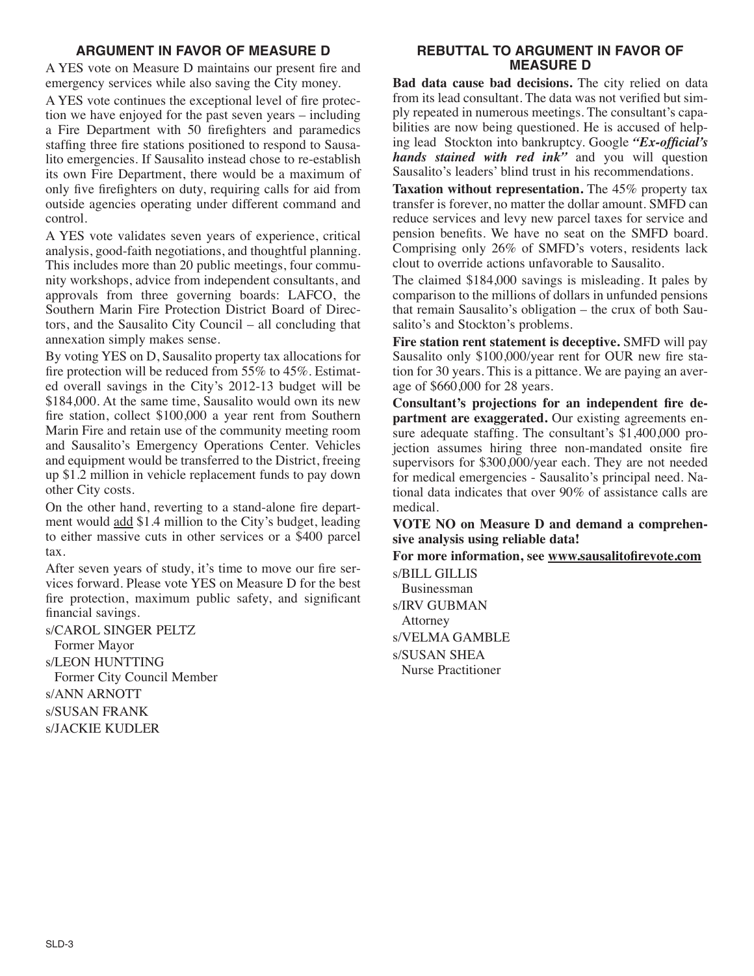## **ARGUMENT IN FAVOR OF MEASURE D**

A YES vote on Measure D maintains our present fire and emergency services while also saving the City money.

A YES vote continues the exceptional level of fire protection we have enjoyed for the past seven years – including a Fire Department with 50 firefighters and paramedics staffing three fire stations positioned to respond to Sausalito emergencies. If Sausalito instead chose to re-establish its own Fire Department, there would be a maximum of only five firefighters on duty, requiring calls for aid from outside agencies operating under different command and control.

A YES vote validates seven years of experience, critical analysis, good-faith negotiations, and thoughtful planning. This includes more than 20 public meetings, four community workshops, advice from independent consultants, and approvals from three governing boards: LAFCO, the Southern Marin Fire Protection District Board of Directors, and the Sausalito City Council – all concluding that annexation simply makes sense.

By voting YES on D, Sausalito property tax allocations for fire protection will be reduced from 55% to 45%. Estimated overall savings in the City's 2012-13 budget will be \$184,000. At the same time, Sausalito would own its new fire station, collect \$100,000 a year rent from Southern Marin Fire and retain use of the community meeting room and Sausalito's Emergency Operations Center. Vehicles and equipment would be transferred to the District, freeing up \$1.2 million in vehicle replacement funds to pay down other City costs.

On the other hand, reverting to a stand-alone fire department would add \$1.4 million to the City's budget, leading to either massive cuts in other services or a \$400 parcel tax.

After seven years of study, it's time to move our fire services forward. Please vote YES on Measure D for the best fire protection, maximum public safety, and significant financial savings.

s/CAROL SINGER PELTZ Former Mayor s/LEON HUNTTING Former City Council Member s/ANN ARNOTT s/SUSAN FRANK s/JACKIE KUDLER

### **REBUTTAL TO ARGUMENT IN FAVOR OF MEASURE D**

**Bad data cause bad decisions.** The city relied on data from its lead consultant. The data was not verified but simply repeated in numerous meetings. The consultant's capabilities are now being questioned. He is accused of helping lead Stockton into bankruptcy. Google *"Ex-official's hands stained with red ink"* and you will question Sausalito's leaders' blind trust in his recommendations.

**Taxation without representation.** The 45% property tax transfer is forever, no matter the dollar amount. SMFD can reduce services and levy new parcel taxes for service and pension benefits. We have no seat on the SMFD board. Comprising only 26% of SMFD's voters, residents lack clout to override actions unfavorable to Sausalito.

The claimed \$184,000 savings is misleading. It pales by comparison to the millions of dollars in unfunded pensions that remain Sausalito's obligation – the crux of both Sau salito's and Stockton's problems.

**Fire station rent statement is deceptive.** SMFD will pay Sausalito only \$100,000/year rent for OUR new fire station for 30 years. This is a pittance. We are paying an average of \$660,000 for 28 years.

**Consultant's projections for an independent fire de**  partment are exaggerated. Our existing agreements ensure adequate staffing. The consultant's \$1,400,000 projection assumes hiring three non-mandated onsite fire supervisors for \$300,000/year each. They are not needed for medical emergencies - Sausalito's principal need. Na tional data indicates that over 90% of assistance calls are medical.

**VOTE NO on Measure D and demand a comprehensive analysis using reliable data!**

**For more information, see www.sausalitofirevote.com** s/BILL GILLIS

Businessman s/IRV GUBMAN Attorney s/VELMA GAMBLE s/SUSAN SHEA Nurse Practitioner